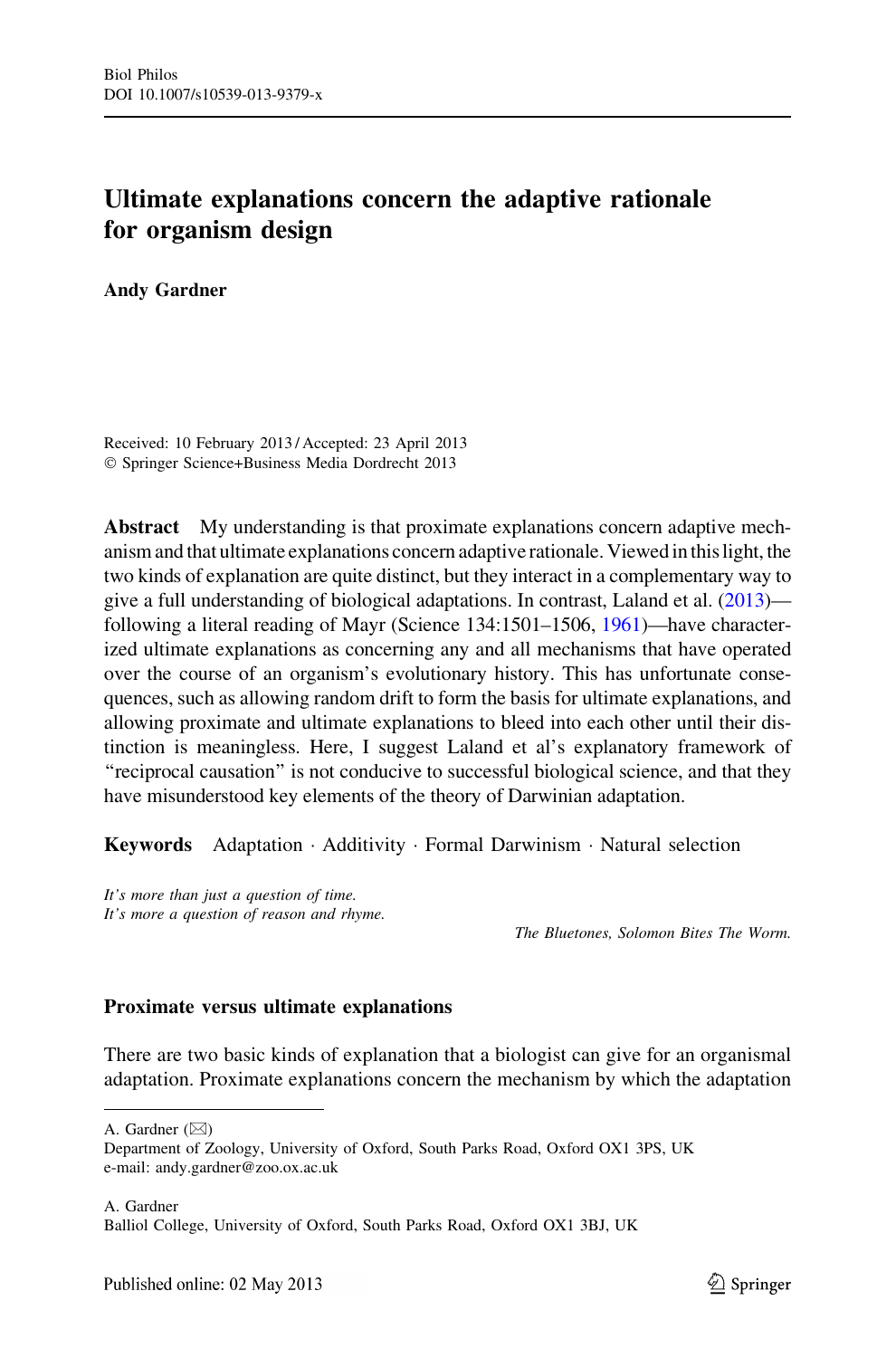# Ultimate explanations concern the adaptive rationale for organism design

Andy Gardner

Received: 10 February 2013 / Accepted: 23 April 2013 - Springer Science+Business Media Dordrecht 2013

Abstract My understanding is that proximate explanations concern adaptive mechanism and that ultimate explanations concern adaptive rationale. Viewed in this light, the two kinds of explanation are quite distinct, but they interact in a complementary way to give a full understanding of biological adaptations. In contrast, Laland et al. ([2013](#page-4-0)) following a literal reading of Mayr (Science 134:1501–1506, [1961\)](#page-4-0)—have characterized ultimate explanations as concerning any and all mechanisms that have operated over the course of an organism's evolutionary history. This has unfortunate consequences, such as allowing random drift to form the basis for ultimate explanations, and allowing proximate and ultimate explanations to bleed into each other until their distinction is meaningless. Here, I suggest Laland et al's explanatory framework of "reciprocal causation" is not conducive to successful biological science, and that they have misunderstood key elements of the theory of Darwinian adaptation.

Keywords Adaptation · Additivity · Formal Darwinism · Natural selection

It's more than just a question of time. It's more a question of reason and rhyme.

The Bluetones, Solomon Bites The Worm.

## Proximate versus ultimate explanations

There are two basic kinds of explanation that a biologist can give for an organismal adaptation. Proximate explanations concern the mechanism by which the adaptation

A. Gardner ( $\boxtimes$ )

A. Gardner Balliol College, University of Oxford, South Parks Road, Oxford OX1 3BJ, UK

Department of Zoology, University of Oxford, South Parks Road, Oxford OX1 3PS, UK e-mail: andy.gardner@zoo.ox.ac.uk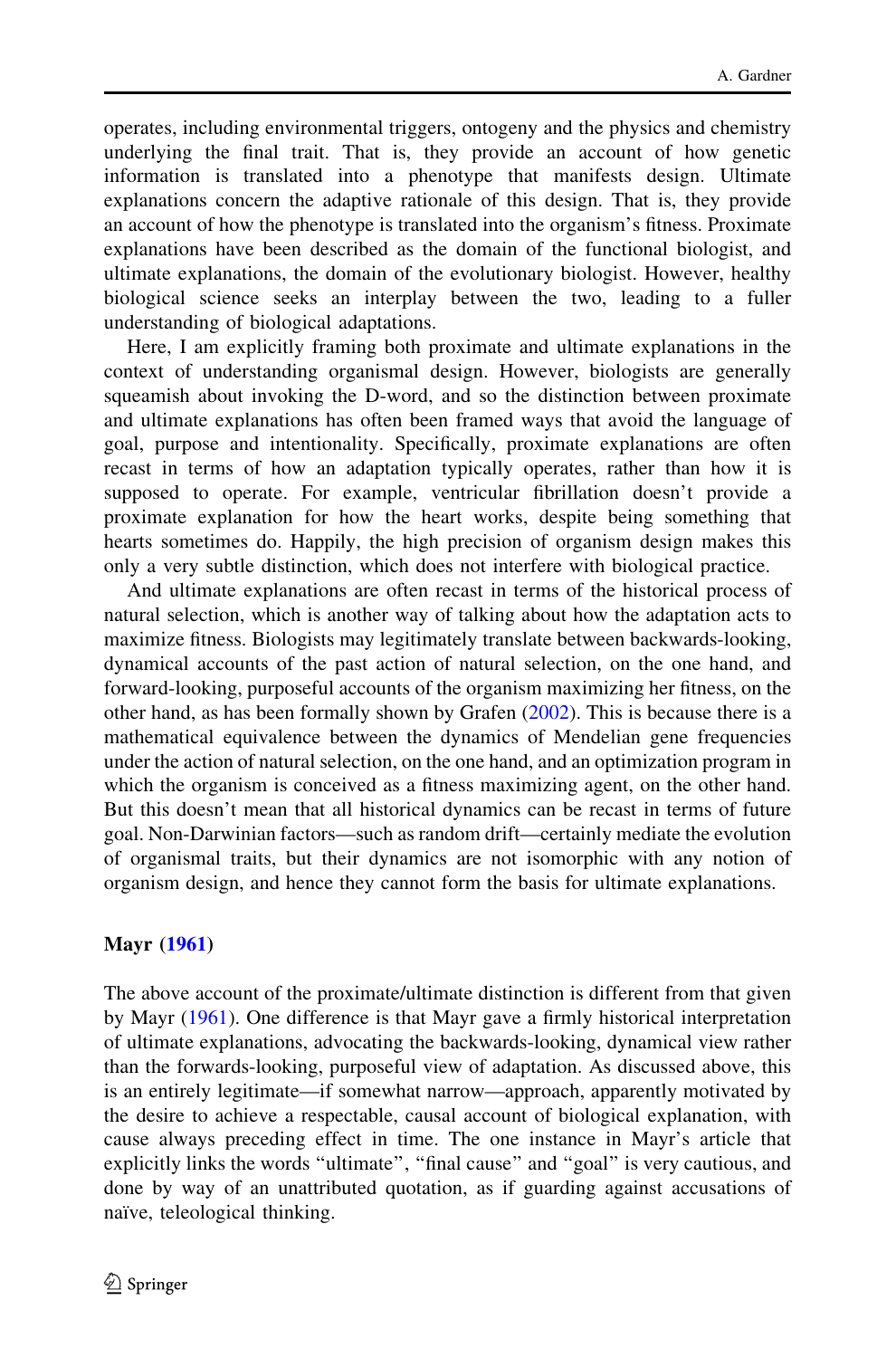operates, including environmental triggers, ontogeny and the physics and chemistry underlying the final trait. That is, they provide an account of how genetic information is translated into a phenotype that manifests design. Ultimate explanations concern the adaptive rationale of this design. That is, they provide an account of how the phenotype is translated into the organism's fitness. Proximate explanations have been described as the domain of the functional biologist, and ultimate explanations, the domain of the evolutionary biologist. However, healthy biological science seeks an interplay between the two, leading to a fuller understanding of biological adaptations.

Here, I am explicitly framing both proximate and ultimate explanations in the context of understanding organismal design. However, biologists are generally squeamish about invoking the D-word, and so the distinction between proximate and ultimate explanations has often been framed ways that avoid the language of goal, purpose and intentionality. Specifically, proximate explanations are often recast in terms of how an adaptation typically operates, rather than how it is supposed to operate. For example, ventricular fibrillation doesn't provide a proximate explanation for how the heart works, despite being something that hearts sometimes do. Happily, the high precision of organism design makes this only a very subtle distinction, which does not interfere with biological practice.

And ultimate explanations are often recast in terms of the historical process of natural selection, which is another way of talking about how the adaptation acts to maximize fitness. Biologists may legitimately translate between backwards-looking, dynamical accounts of the past action of natural selection, on the one hand, and forward-looking, purposeful accounts of the organism maximizing her fitness, on the other hand, as has been formally shown by Grafen [\(2002](#page-4-0)). This is because there is a mathematical equivalence between the dynamics of Mendelian gene frequencies under the action of natural selection, on the one hand, and an optimization program in which the organism is conceived as a fitness maximizing agent, on the other hand. But this doesn't mean that all historical dynamics can be recast in terms of future goal. Non-Darwinian factors—such as random drift—certainly mediate the evolution of organismal traits, but their dynamics are not isomorphic with any notion of organism design, and hence they cannot form the basis for ultimate explanations.

# Mayr ([1961\)](#page-4-0)

The above account of the proximate/ultimate distinction is different from that given by Mayr [\(1961](#page-4-0)). One difference is that Mayr gave a firmly historical interpretation of ultimate explanations, advocating the backwards-looking, dynamical view rather than the forwards-looking, purposeful view of adaptation. As discussed above, this is an entirely legitimate—if somewhat narrow—approach, apparently motivated by the desire to achieve a respectable, causal account of biological explanation, with cause always preceding effect in time. The one instance in Mayr's article that explicitly links the words "ultimate", "final cause" and "goal" is very cautious, and done by way of an unattributed quotation, as if guarding against accusations of naïve, teleological thinking.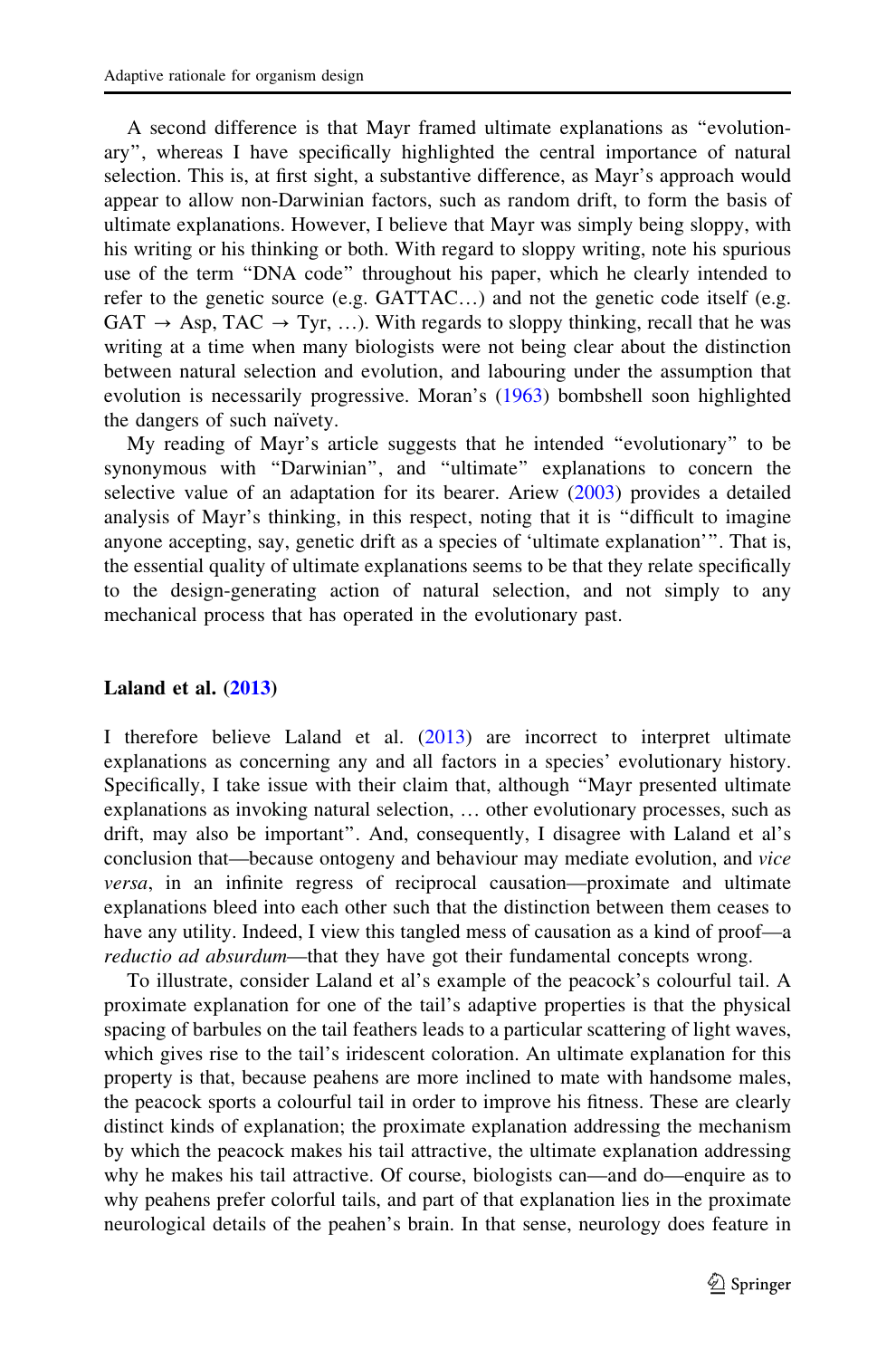A second difference is that Mayr framed ultimate explanations as ''evolutionary'', whereas I have specifically highlighted the central importance of natural selection. This is, at first sight, a substantive difference, as Mayr's approach would appear to allow non-Darwinian factors, such as random drift, to form the basis of ultimate explanations. However, I believe that Mayr was simply being sloppy, with his writing or his thinking or both. With regard to sloppy writing, note his spurious use of the term ''DNA code'' throughout his paper, which he clearly intended to refer to the genetic source (e.g. GATTAC…) and not the genetic code itself (e.g.  $GAT \rightarrow Asp, TAC \rightarrow Tyr, ...$ ). With regards to sloppy thinking, recall that he was writing at a time when many biologists were not being clear about the distinction between natural selection and evolution, and labouring under the assumption that evolution is necessarily progressive. Moran's [\(1963](#page-4-0)) bombshell soon highlighted the dangers of such naïvety.

My reading of Mayr's article suggests that he intended ''evolutionary'' to be synonymous with ''Darwinian'', and ''ultimate'' explanations to concern the selective value of an adaptation for its bearer. Ariew ([2003\)](#page-4-0) provides a detailed analysis of Mayr's thinking, in this respect, noting that it is ''difficult to imagine anyone accepting, say, genetic drift as a species of 'ultimate explanation'''. That is, the essential quality of ultimate explanations seems to be that they relate specifically to the design-generating action of natural selection, and not simply to any mechanical process that has operated in the evolutionary past.

### Laland et al.  $(2013)$  $(2013)$

I therefore believe Laland et al. [\(2013](#page-4-0)) are incorrect to interpret ultimate explanations as concerning any and all factors in a species' evolutionary history. Specifically, I take issue with their claim that, although ''Mayr presented ultimate explanations as invoking natural selection, … other evolutionary processes, such as drift, may also be important''. And, consequently, I disagree with Laland et al's conclusion that—because ontogeny and behaviour may mediate evolution, and vice versa, in an infinite regress of reciprocal causation—proximate and ultimate explanations bleed into each other such that the distinction between them ceases to have any utility. Indeed, I view this tangled mess of causation as a kind of proof—a reductio ad absurdum—that they have got their fundamental concepts wrong.

To illustrate, consider Laland et al's example of the peacock's colourful tail. A proximate explanation for one of the tail's adaptive properties is that the physical spacing of barbules on the tail feathers leads to a particular scattering of light waves, which gives rise to the tail's iridescent coloration. An ultimate explanation for this property is that, because peahens are more inclined to mate with handsome males, the peacock sports a colourful tail in order to improve his fitness. These are clearly distinct kinds of explanation; the proximate explanation addressing the mechanism by which the peacock makes his tail attractive, the ultimate explanation addressing why he makes his tail attractive. Of course, biologists can—and do—enquire as to why peahens prefer colorful tails, and part of that explanation lies in the proximate neurological details of the peahen's brain. In that sense, neurology does feature in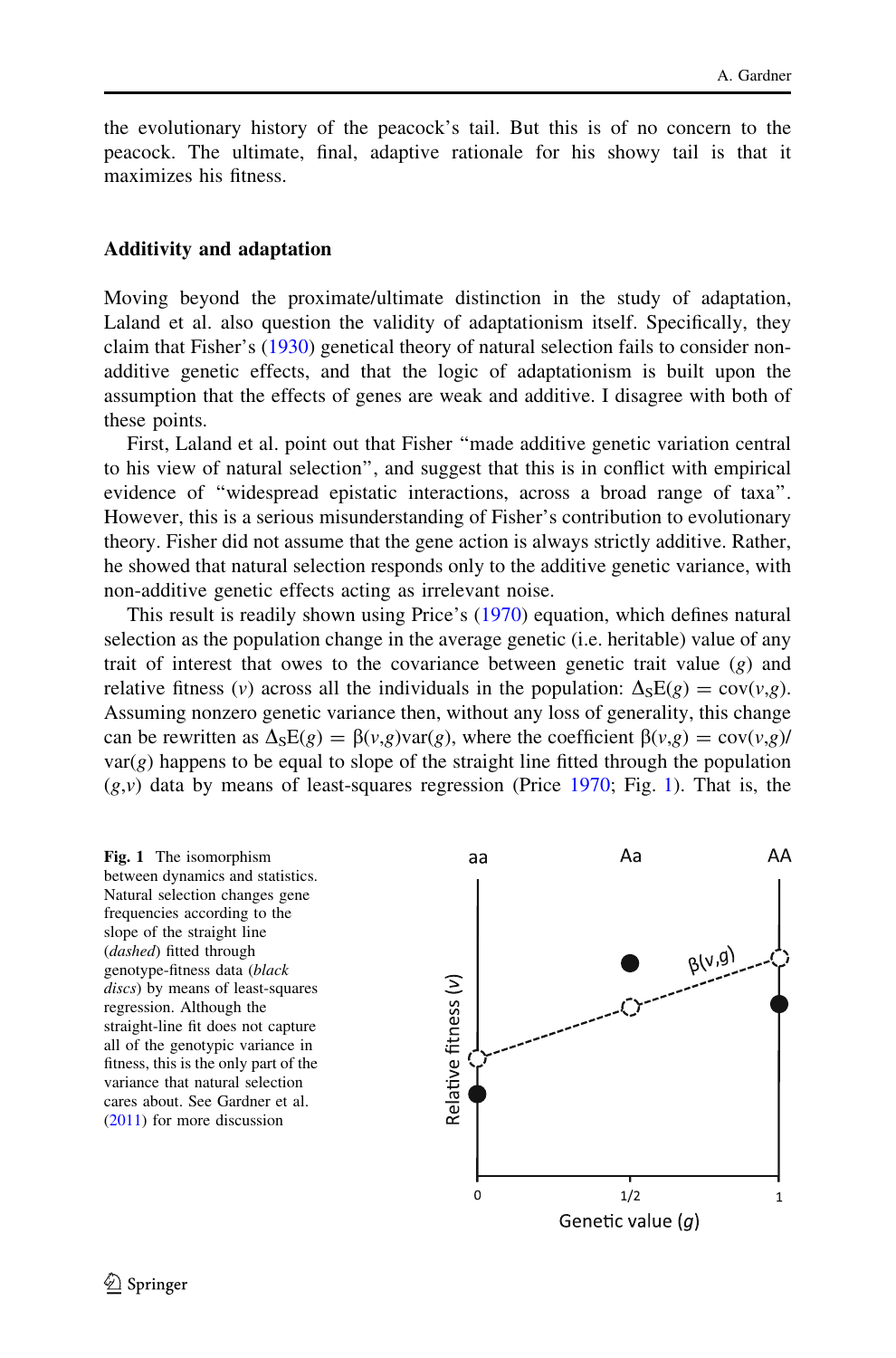the evolutionary history of the peacock's tail. But this is of no concern to the peacock. The ultimate, final, adaptive rationale for his showy tail is that it maximizes his fitness.

#### Additivity and adaptation

Moving beyond the proximate/ultimate distinction in the study of adaptation, Laland et al. also question the validity of adaptationism itself. Specifically, they claim that Fisher's [\(1930](#page-4-0)) genetical theory of natural selection fails to consider nonadditive genetic effects, and that the logic of adaptationism is built upon the assumption that the effects of genes are weak and additive. I disagree with both of these points.

First, Laland et al. point out that Fisher ''made additive genetic variation central to his view of natural selection'', and suggest that this is in conflict with empirical evidence of ''widespread epistatic interactions, across a broad range of taxa''. However, this is a serious misunderstanding of Fisher's contribution to evolutionary theory. Fisher did not assume that the gene action is always strictly additive. Rather, he showed that natural selection responds only to the additive genetic variance, with non-additive genetic effects acting as irrelevant noise.

This result is readily shown using Price's ([1970\)](#page-4-0) equation, which defines natural selection as the population change in the average genetic (i.e. heritable) value of any trait of interest that owes to the covariance between genetic trait value  $(g)$  and relative fitness (v) across all the individuals in the population:  $\Delta$ <sub>S</sub>E(g) = cov(v,g). Assuming nonzero genetic variance then, without any loss of generality, this change can be rewritten as  $\Delta_S E(g) = \beta(v,g) \text{var}(g)$ , where the coefficient  $\beta(v,g) = \text{cov}(v,g)$  $var(g)$  happens to be equal to slope of the straight line fitted through the population  $(g, v)$  data by means of least-squares regression (Price [1970;](#page-4-0) Fig. 1). That is, the

Fig. 1 The isomorphism between dynamics and statistics. Natural selection changes gene frequencies according to the slope of the straight line (dashed) fitted through genotype-fitness data (black discs) by means of least-squares regression. Although the straight-line fit does not capture all of the genotypic variance in fitness, this is the only part of the variance that natural selection cares about. See Gardner et al. ([2011\)](#page-4-0) for more discussion